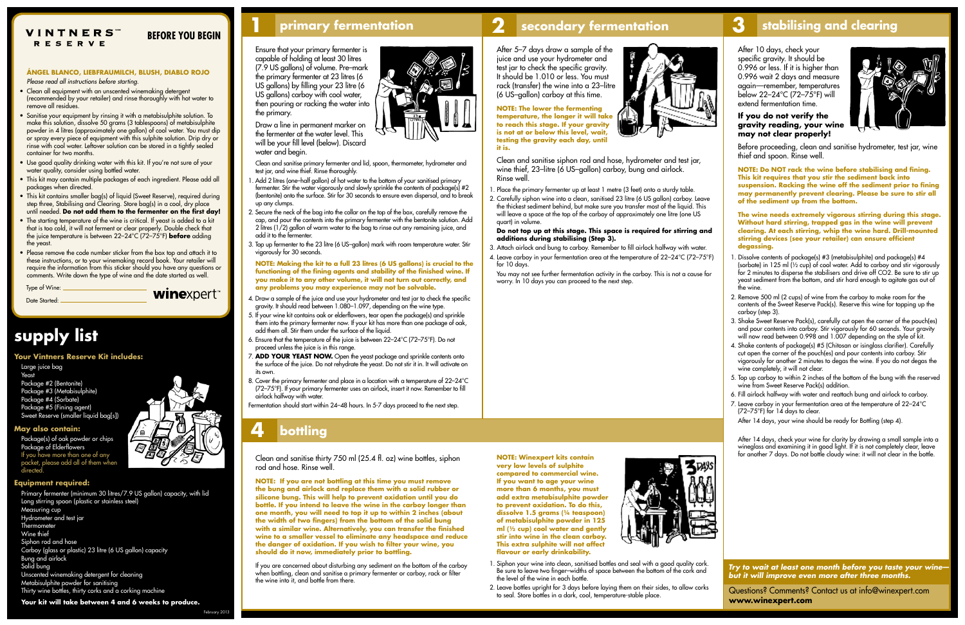*Try to wait at least one month before you taste your wine but it will improve even more after three months.*

Questions? Comments? Contact us at info@winexpert.com **www.winexpert.com**

# **1 primary fermentation 2 secondary fermentation 3 stabilising and clearing**

### **ÁNGEL BLANCO, LIEBFRAUMILCH, BLUSH, DIABLO ROJO** *Please read all instructions before starting.*

- Clean all equipment with an unscented winemaking detergent (recommended by your retailer) and rinse thoroughly with hot water to remove all residues.
- Sanitise your equipment by rinsing it with a metabisulphite solution. To make this solution, dissolve 50 grams (3 tablespoons) of metabisulphite powder in 4 litres (approximately one gallon) of cool water. You must dip or spray every piece of equipment with this sulphite solution. Drip dry or rinse with cool water. Leftover solution can be stored in a tightly sealed container for two months.
- **Use good quality drinking water with this kit. If you're not sure of your** water quality, consider using bottled water.
- $\blacksquare$  This kit may contain multiple packages of each ingredient. Please add all packages when directed.
- This kit contains smaller bag(s) of liquid (Sweet Reserve), required during step three, Stabilising and Clearing. Store bag(s) in a cool, dry place until needed. **Do not add them to the fermenter on the first day!**
- The starting temperature of the wine is critical. If yeast is added to a kit that is too cold, it will not ferment or clear properly. Double check that the juice temperature is between 22–24°C (72–75°F) **before** adding the yeast.
- Please remove the code number sticker from the box top and attach it to these instructions, or to your winemaking record book. Your retailer will require the information from this sticker should you have any questions or comments. Write down the type of wine and the date started as well.

Ensure that your primary fermenter is capable of holding at least 30 litres (7.9 US gallons) of volume. Pre–mark the primary fermenter at 23 litres (6 US gallons) by filling your 23 litre (6 US gallons) carboy with cool water, then pouring or racking the water into the primary.

Draw a line in permanent marker on the fermenter at the water level. This will be your fill level (below). Discard water and begin.

 Clean and sanitise primary fermenter and lid, spoon, thermometer, hydrometer and test jar, and wine thief. Rinse thoroughly.

- 1. Add 2 litres (one–half gallon) of hot water to the bottom of your sanitised primary fermenter. Stir the water vigorously and slowly sprinkle the contents of package(s) #2 (bentonite) onto the surface. Stir for 30 seconds to ensure even dispersal, and to break up any clumps.
- 2. Secure the neck of the bag into the collar on the top of the box, carefully remove the cap, and pour the contents into the primary fermenter with the bentonite solution. Add 2 litres (1/2) gallon of warm water to the bag to rinse out any remaining juice, and add it to the fermenter.
- 3. Top up fermenter to the 23 litre (6 US–gallon) mark with room temperature water. Stir vigorously for 30 seconds.

**NOTE: Making the kit to a full 23 litres (6 US gallons) is crucial to the functioning of the fining agents and stability of the finished wine. If you make it to any other volume, it will not turn out correctly, and any problems you may experience may not be solvable.** 

- 1. Dissolve contents of package(s) #3 (metabisulphite) and package(s) #4 (sorbate) in 125 ml ( $\frac{1}{2}$  cup) of cool water. Add to carboy and stir vigorously for 2 minutes to disperse the stabilisers and drive off CO2. Be sure to stir up yeast sediment from the bottom, and stir hard enough to agitate gas out of the wine.
- 2. Remove 500 ml (2 cups) of wine from the carboy to make room for the contents of the Sweet Reserve Pack(s). Reserve this wine for topping up the carboy (step 3).
- 3. Shake Sweet Reserve Pack(s), carefully cut open the corner of the pouch(es) and pour contents into carboy. Stir vigorously for 60 seconds. Your gravity will now read between 0.998 and 1.007 depending on the style of kit.
- 4. Shake contents of package(s) #5 (Chitosan or isinglass clarifier). Carefully cut open the corner of the pouch(es) and pour contents into carboy. Stir vigorously for another 2 minutes to degas the wine. If you do not degas the wine completely, it will not clear.
- 5. Top up carboy to within 2 inches of the bottom of the bung with the reserved wine from Sweet Reserve Pack(s) addition.
- 6. Fill airlock halfway with water and reattach bung and airlock to carboy.
- 7. Leave carboy in your fermentation area at the temperature of 22–24°C (72–75 $\degree$ F) for 14 days to clear.

After 14 days, your wine should be ready for Bottling (step 4).

- 4. Draw a sample of the juice and use your hydrometer and test jar to check the specific gravity. It should read between 1.080–1.097, depending on the wine type.
- 5. If your wine kit contains oak or elderflowers, tear open the package(s) and sprinkle them into the primary fermenter now. If your kit has more than one package of oak, add them all. Stir them under the surface of the liquid.
- 6. Ensure that the temperature of the juice is between 22–24°C (72–75°F). Do not proceed unless the juice is in this range.
- 7. **ADD YOUR YEAST NOW.** Open the yeast package and sprinkle contents onto the surface of the juice. Do not rehydrate the yeast. Do not stir it in. It will activate on its own.
- 8. Cover the primary fermenter and place in a location with a temperature of 22–24°C (72–75°F). If your primary fermenter uses an airlock, insert it now. Remember to fill airlock halfway with water.

 After 14 days, check your wine for clarity by drawing a small sample into a wineglass and examining it in good light. If it is not completely clear, leave<br>for another 7 days. Do not bottle cloudy wine: it will not clear in the bottle.

Clean and sanitise thirty 750 ml (25.4 fl. oz) wine bottles, siphon rod and hose. Rinse well.

Fermentation should start within 24–48 hours. In 5-7 days proceed to the next step.







**to reach this stage. If your gravity is not at or below this level, wait, testing the gravity each day, until it is.** 

Clean and sanitise siphon rod and hose, hydrometer and test jar, wine thief, 23-litre (6 US-gallon) carboy, bung and airlock. Rinse well.

- 1. Place the primary fermenter up at least 1 metre (3 feet) onto a sturdy table.
- 2. Carefully siphon wine into a clean, sanitised 23 litre (6 US gallon) carboy. Leave the thickest sediment behind, but make sure you transfer most of the liquid. This will leave a space at the top of the carboy of approximately one litre (one US quart) in volume.

#### **Do not top up at this stage. This space is required for stirring and additions during stabilising (Step 3).**

- 3. Attach airlock and bung to carboy. Remember to fill airlock halfway with water.
- 4. Leave carboy in your fermentation area at the temperature of 22–24°C (72–75°F) for 10 days.
- You may not see further fermentation activity in the carboy. This is not a cause for worry. In 10 days you can proceed to the next step.

After 10 days, check your specific gravity. It should be 0.996 or less. If it is higher than 0.996 wait 2 days and measure again—remember, temperatures below 22–24°C (72–75°F) will extend fermentation time.

# **If you do not verify the gravity reading, your wine may not clear properly!**



Before proceeding, clean and sanitise hydrometer, test jar, wine thief and spoon. Rinse well.

**NOTE: Do NOT rack the wine before stabilising and fining. This kit requires that you stir the sediment back into suspension. Racking the wine off the sediment prior to fining may permanently prevent clearing. Please be sure to stir all of the sediment up from the bottom.** 

**The wine needs extremely vigorous stirring during this stage. Without hard stirring, trapped gas in the wine will prevent clearing. At each stirring, whip the wine hard. Drill-mounted stirring devices (see your retailer) can ensure efficient degassing.** 

**NOTE: If you are not bottling at this time you must remove the bung and airlock and replace them with a solid rubber or silicone bung. This will help to prevent oxidation until you do bottle. If you intend to leave the wine in the carboy longer than one month, you will need to top it up to within 2 inches (about the width of two fingers) from the bottom of the solid bung with a similar wine. Alternatively, you can transfer the finished wine to a smaller vessel to eliminate any headspace and reduce the danger of oxidation. If you wish to filter your wine, you should do it now, immediately prior to bottling.**

If you are concerned about disturbing any sediment on the bottom of the carboy when bottling, clean and sanitise a primary fermenter or carboy, rack or filter the wine into it, and bottle from there.

# **4 bottling**

**NOTE: Winexpert kits contain very low levels of sulphite compared to commercial wine. If you want to age your wine more than 6 months, you must add extra metabisulphite powder to prevent oxidation. To do this, dissolve 1.5 grams (¼ teaspoon) of metabisulphite powder in 125 ml (½ cup) cool water and gently stir into wine in the clean carboy. This extra sulphite will not affect flavour or early drinkability.** 



- 1. Siphon your wine into clean, sanitised bottles and seal with a good quality cork. Be sure to leave two finger-widths of space between the bottom of the cork and the level of the wine in each bottle.
- 2. Leave bottles upright for 3 days before laying them on their sides, to allow corks to seal. Store bottles in a dark, cool, temperature-stable place.

# **supply list**

## **Your Vintners Reserve Kit includes:**

Large juice bag Yeast Package #2 (Bentonite)

Package #3 (Metabisulphite) Package #4 (Sorbate) Package #5 (Fining agent) Sweet Reserve (smaller liquid bag[s])

## **May also contain:**

Package(s) of oak powder or chips Package of Elderflowers If you have more than one of any packet, please add all of them when directed.

## **Equipment required:**

Primary fermenter (minimum 30 litres/7.9 US gallon) capacity, with lid Long stirring spoon (plastic or stainless steel) Measuring cup Hydrometer and test jar **Thermometer** Wine thief Siphon rod and hose Carboy (glass or plastic) 23 litre (6 US gallon) capacity Bung and airlock Solid bung Unscented winemaking detergent for cleaning Metabisulphite powder for sanitising Thirty wine bottles, thirty corks and a corking machine **Your kit will take between 4 and 6 weeks to produce.**

Type of Wine: Date Started:

winexpert<sup>\*</sup>

Febru

## **VINTNERS** RESERVE

# **BEFORE YOU BEGIN**